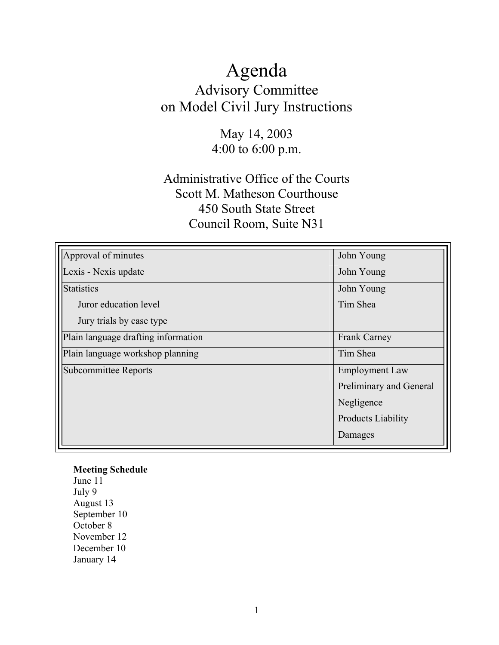# Agenda Advisory Committee on Model Civil Jury Instructions

# May 14, 2003 4:00 to 6:00 p.m.

# Administrative Office of the Courts Scott M. Matheson Courthouse 450 South State Street Council Room, Suite N31

| Approval of minutes                 | John Young                |
|-------------------------------------|---------------------------|
| Lexis - Nexis update                | John Young                |
| <b>Statistics</b>                   | John Young                |
| Juror education level               | Tim Shea                  |
| Jury trials by case type            |                           |
| Plain language drafting information | <b>Frank Carney</b>       |
| Plain language workshop planning    | Tim Shea                  |
| <b>Subcommittee Reports</b>         | <b>Employment Law</b>     |
|                                     | Preliminary and General   |
|                                     | Negligence                |
|                                     | <b>Products Liability</b> |
|                                     | Damages                   |

#### **Meeting Schedule**

June 11 July 9 August 13 September 10 October 8 November 12 December 10 January 14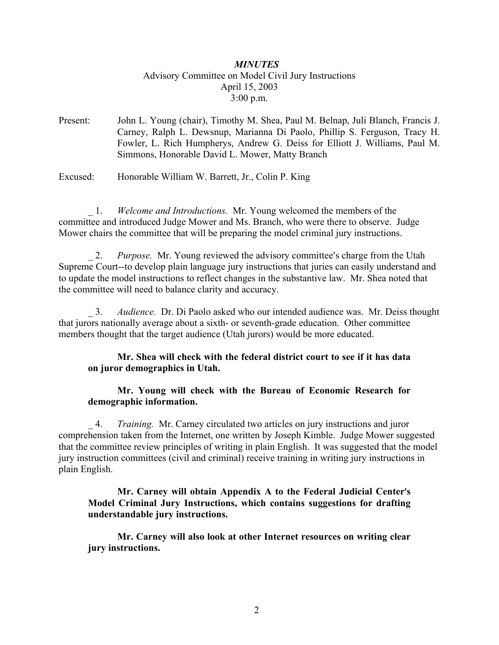### *MINUTES* Advisory Committee on Model Civil Jury Instructions April 15, 2003 3:00 p.m.

Present: John L. Young (chair), Timothy M. Shea, Paul M. Belnap, Juli Blanch, Francis J. Carney, Ralph L. Dewsnup, Marianna Di Paolo, Phillip S. Ferguson, Tracy H. Fowler, L. Rich Humpherys, Andrew G. Deiss for Elliott J. Williams, Paul M. Simmons, Honorable David L. Mower, Matty Branch

Excused: Honorable William W. Barrett, Jr., Colin P. King

\_ 1. *Welcome and Introductions.* Mr. Young welcomed the members of the committee and introduced Judge Mower and Ms. Branch, who were there to observe. Judge Mower chairs the committee that will be preparing the model criminal jury instructions.

2. *Purpose.* Mr. Young reviewed the advisory committee's charge from the Utah Supreme Court--to develop plain language jury instructions that juries can easily understand and to update the model instructions to reflect changes in the substantive law. Mr. Shea noted that the committee will need to balance clarity and accuracy.

\_ 3. *Audience.* Dr. Di Paolo asked who our intended audience was. Mr. Deiss thought that jurors nationally average about a sixth- or seventh-grade education. Other committee members thought that the target audience (Utah jurors) would be more educated.

#### **Mr. Shea will check with the federal district court to see if it has data on juror demographics in Utah.**

#### **Mr. Young will check with the Bureau of Economic Research for demographic information.**

\_ 4. *Training.* Mr. Carney circulated two articles on jury instructions and juror comprehension taken from the Internet, one written by Joseph Kimble. Judge Mower suggested that the committee review principles of writing in plain English. It was suggested that the model jury instruction committees (civil and criminal) receive training in writing jury instructions in plain English.

#### **Mr. Carney will obtain Appendix A to the Federal Judicial Center's Model Criminal Jury Instructions, which contains suggestions for drafting understandable jury instructions.**

**Mr. Carney will also look at other Internet resources on writing clear jury instructions.**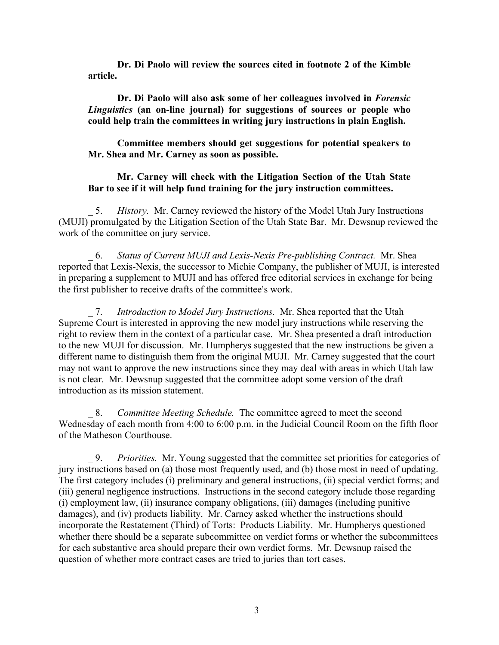**Dr. Di Paolo will review the sources cited in footnote 2 of the Kimble article.**

**Dr. Di Paolo will also ask some of her colleagues involved in** *Forensic Linguistics* **(an on-line journal) for suggestions of sources or people who could help train the committees in writing jury instructions in plain English.**

**Committee members should get suggestions for potential speakers to Mr. Shea and Mr. Carney as soon as possible.** 

#### **Mr. Carney will check with the Litigation Section of the Utah State Bar to see if it will help fund training for the jury instruction committees.**

\_ 5. *History.* Mr. Carney reviewed the history of the Model Utah Jury Instructions (MUJI) promulgated by the Litigation Section of the Utah State Bar. Mr. Dewsnup reviewed the work of the committee on jury service.

\_ 6. *Status of Current MUJI and Lexis-Nexis Pre-publishing Contract.* Mr. Shea reported that Lexis-Nexis, the successor to Michie Company, the publisher of MUJI, is interested in preparing a supplement to MUJI and has offered free editorial services in exchange for being the first publisher to receive drafts of the committee's work.

\_ 7. *Introduction to Model Jury Instructions.* Mr. Shea reported that the Utah Supreme Court is interested in approving the new model jury instructions while reserving the right to review them in the context of a particular case. Mr. Shea presented a draft introduction to the new MUJI for discussion. Mr. Humpherys suggested that the new instructions be given a different name to distinguish them from the original MUJI. Mr. Carney suggested that the court may not want to approve the new instructions since they may deal with areas in which Utah law is not clear. Mr. Dewsnup suggested that the committee adopt some version of the draft introduction as its mission statement.

\_ 8. *Committee Meeting Schedule.* The committee agreed to meet the second Wednesday of each month from 4:00 to 6:00 p.m. in the Judicial Council Room on the fifth floor of the Matheson Courthouse.

\_ 9. *Priorities.* Mr. Young suggested that the committee set priorities for categories of jury instructions based on (a) those most frequently used, and (b) those most in need of updating. The first category includes (i) preliminary and general instructions, (ii) special verdict forms; and (iii) general negligence instructions. Instructions in the second category include those regarding (i) employment law, (ii) insurance company obligations, (iii) damages (including punitive damages), and (iv) products liability. Mr. Carney asked whether the instructions should incorporate the Restatement (Third) of Torts: Products Liability. Mr. Humpherys questioned whether there should be a separate subcommittee on verdict forms or whether the subcommittees for each substantive area should prepare their own verdict forms. Mr. Dewsnup raised the question of whether more contract cases are tried to juries than tort cases.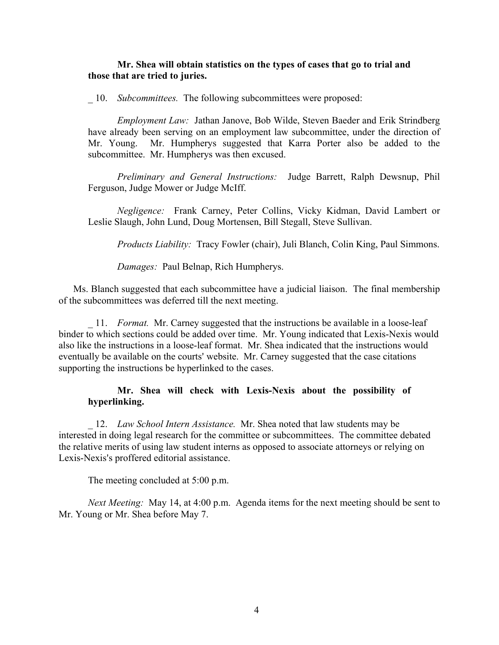#### **Mr. Shea will obtain statistics on the types of cases that go to trial and those that are tried to juries.**

\_ 10. *Subcommittees.* The following subcommittees were proposed:

*Employment Law:* Jathan Janove, Bob Wilde, Steven Baeder and Erik Strindberg have already been serving on an employment law subcommittee, under the direction of Mr. Young. Mr. Humpherys suggested that Karra Porter also be added to the subcommittee. Mr. Humpherys was then excused.

*Preliminary and General Instructions:* Judge Barrett, Ralph Dewsnup, Phil Ferguson, Judge Mower or Judge McIff.

*Negligence:* Frank Carney, Peter Collins, Vicky Kidman, David Lambert or Leslie Slaugh, John Lund, Doug Mortensen, Bill Stegall, Steve Sullivan.

*Products Liability:* Tracy Fowler (chair), Juli Blanch, Colin King, Paul Simmons.

*Damages:* Paul Belnap, Rich Humpherys.

Ms. Blanch suggested that each subcommittee have a judicial liaison. The final membership of the subcommittees was deferred till the next meeting.

\_ 11. *Format.* Mr. Carney suggested that the instructions be available in a loose-leaf binder to which sections could be added over time. Mr. Young indicated that Lexis-Nexis would also like the instructions in a loose-leaf format. Mr. Shea indicated that the instructions would eventually be available on the courts' website. Mr. Carney suggested that the case citations supporting the instructions be hyperlinked to the cases.

#### **Mr. Shea will check with Lexis-Nexis about the possibility of hyperlinking.**

\_ 12. *Law School Intern Assistance.* Mr. Shea noted that law students may be interested in doing legal research for the committee or subcommittees. The committee debated the relative merits of using law student interns as opposed to associate attorneys or relying on Lexis-Nexis's proffered editorial assistance.

The meeting concluded at 5:00 p.m.

*Next Meeting:* May 14, at 4:00 p.m. Agenda items for the next meeting should be sent to Mr. Young or Mr. Shea before May 7.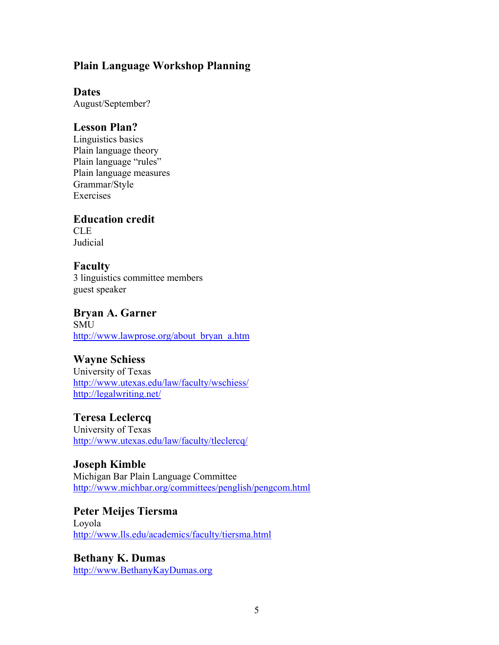## **Plain Language Workshop Planning**

### **Dates**

August/September?

## **Lesson Plan?**

Linguistics basics Plain language theory Plain language "rules" Plain language measures Grammar/Style Exercises

# **Education credit**

CLE Judicial

# **Faculty**

3 linguistics committee members guest speaker

# **Bryan A. Garner**

**SMU** http://www.lawprose.org/about\_bryan\_a.htm

# **Wayne Schiess**

University of Texas http://www.utexas.edu/law/faculty/wschiess/ http://legalwriting.net/

# **Teresa Leclercq**

University of Texas http://www.utexas.edu/law/faculty/tleclercq/

**Joseph Kimble**  Michigan Bar Plain Language Committee http://www.michbar.org/committees/penglish/pengcom.html

#### **Peter Meijes Tiersma**  Loyola http://www.lls.edu/academics/faculty/tiersma.html

**Bethany K. Dumas**  http://www.BethanyKayDumas.org